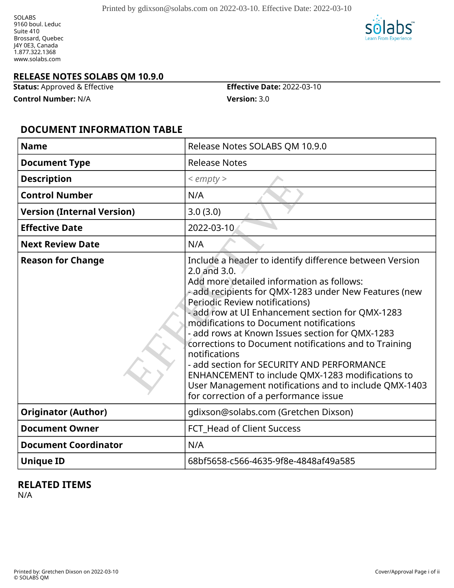SOLABS 9160 boul. Leduc Suite 410 Brossard, Quebec J4Y 0E3, Canada 1.877.322.1368 www.solabs.com



#### **RELEASE NOTES SOLABS QM 10.9.0**

**Status:** Approved & Effective **Effective Date:** 2022-03-10

**Control Number:** N/A **Version:** 3.0

#### **DOCUMENT INFORMATION TABLE**

| <b>Name</b>                       | Release Notes SOLABS QM 10.9.0                                                                                                                                                                                                                                                                                                                                                                                                                                                                                                                                                                                                                  |
|-----------------------------------|-------------------------------------------------------------------------------------------------------------------------------------------------------------------------------------------------------------------------------------------------------------------------------------------------------------------------------------------------------------------------------------------------------------------------------------------------------------------------------------------------------------------------------------------------------------------------------------------------------------------------------------------------|
| <b>Document Type</b>              | <b>Release Notes</b>                                                                                                                                                                                                                                                                                                                                                                                                                                                                                                                                                                                                                            |
| <b>Description</b>                | $<$ empty $>$                                                                                                                                                                                                                                                                                                                                                                                                                                                                                                                                                                                                                                   |
| <b>Control Number</b>             | N/A                                                                                                                                                                                                                                                                                                                                                                                                                                                                                                                                                                                                                                             |
| <b>Version (Internal Version)</b> | 3.0(3.0)                                                                                                                                                                                                                                                                                                                                                                                                                                                                                                                                                                                                                                        |
| <b>Effective Date</b>             | 2022-03-10                                                                                                                                                                                                                                                                                                                                                                                                                                                                                                                                                                                                                                      |
| <b>Next Review Date</b>           | N/A                                                                                                                                                                                                                                                                                                                                                                                                                                                                                                                                                                                                                                             |
| <b>Reason for Change</b>          | Include a header to identify difference between Version<br>2.0 and 3.0.<br>Add more detailed information as follows:<br>- add recipients for QMX-1283 under New Features (new<br>Periodic Review notifications)<br>- add row at UI Enhancement section for QMX-1283<br>modifications to Document notifications<br>- add rows at Known Issues section for QMX-1283<br>corrections to Document notifications and to Training<br>notifications<br>- add section for SECURITY AND PERFORMANCE<br>ENHANCEMENT to include QMX-1283 modifications to<br>User Management notifications and to include QMX-1403<br>for correction of a performance issue |
| <b>Originator (Author)</b>        | gdixson@solabs.com (Gretchen Dixson)                                                                                                                                                                                                                                                                                                                                                                                                                                                                                                                                                                                                            |
| <b>Document Owner</b>             | FCT_Head of Client Success                                                                                                                                                                                                                                                                                                                                                                                                                                                                                                                                                                                                                      |
| <b>Document Coordinator</b>       | N/A                                                                                                                                                                                                                                                                                                                                                                                                                                                                                                                                                                                                                                             |
| <b>Unique ID</b>                  | 68bf5658-c566-4635-9f8e-4848af49a585                                                                                                                                                                                                                                                                                                                                                                                                                                                                                                                                                                                                            |

#### **RELATED ITEMS**

N/A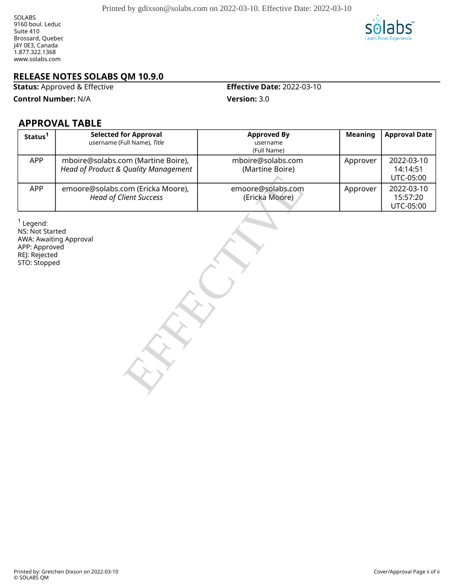

**Status:** Approved & Effective **Effective Date:** 2022-03-10

**Control Number:** N/A **Version:** 3.0

#### **APPROVAL TABLE**

| Status <sup>1</sup>                                                              | <b>Selected for Approval</b><br>username (Full Name), Title                | <b>Approved By</b><br>username<br>(Full Name) | <b>Meaning</b> | <b>Approval Date</b>                |
|----------------------------------------------------------------------------------|----------------------------------------------------------------------------|-----------------------------------------------|----------------|-------------------------------------|
| APP                                                                              | mboire@solabs.com (Martine Boire),<br>Head of Product & Quality Management | mboire@solabs.com<br>(Martine Boire)          | Approver       | 2022-03-10<br>14:14:51<br>UTC-05:00 |
| APP                                                                              | emoore@solabs.com (Ericka Moore),<br><b>Head of Client Success</b>         | emoore@solabs.com<br>(Ericka Moore)           | Approver       | 2022-03-10<br>15:57:20<br>UTC-05:00 |
| $1$ Legend:<br>NS: Not Started<br>APP: Approved<br>REJ: Rejected<br>STO: Stopped | AWA: Awaiting Approval                                                     |                                               |                |                                     |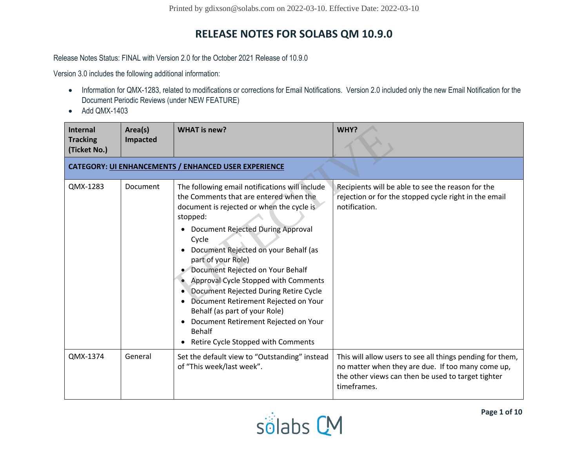Release Notes Status: FINAL with Version 2.0 for the October 2021 Release of 10.9.0

Version 3.0 includes the following additional information:

- Information for QMX-1283, related to modifications or corrections for Email Notifications. Version 2.0 included only the new Email Notification for the Document Periodic Reviews (under NEW FEATURE)
- Add QMX-1403

| <b>Internal</b><br><b>Tracking</b><br>(Ticket No.) | Area(s)<br>Impacted | <b>WHAT</b> is new?                                                                                                                                                                                                                                                                                                                                                                                                                                                                                                                                                                                 | WHY?                                                                                                                                                                                |
|----------------------------------------------------|---------------------|-----------------------------------------------------------------------------------------------------------------------------------------------------------------------------------------------------------------------------------------------------------------------------------------------------------------------------------------------------------------------------------------------------------------------------------------------------------------------------------------------------------------------------------------------------------------------------------------------------|-------------------------------------------------------------------------------------------------------------------------------------------------------------------------------------|
|                                                    |                     | CATEGORY: UI ENHANCEMENTS / ENHANCED USER EXPERIENCE                                                                                                                                                                                                                                                                                                                                                                                                                                                                                                                                                |                                                                                                                                                                                     |
| QMX-1283                                           | Document            | The following email notifications will include<br>the Comments that are entered when the<br>document is rejected or when the cycle is<br>stopped:<br>Document Rejected During Approval<br>٠<br>Cycle<br>Document Rejected on your Behalf (as<br>$\bullet$<br>part of your Role)<br>Document Rejected on Your Behalf<br>Approval Cycle Stopped with Comments<br>Document Rejected During Retire Cycle<br>Document Retirement Rejected on Your<br>$\bullet$<br>Behalf (as part of your Role)<br>Document Retirement Rejected on Your<br>٠<br><b>Behalf</b><br>Retire Cycle Stopped with Comments<br>٠ | Recipients will be able to see the reason for the<br>rejection or for the stopped cycle right in the email<br>notification.                                                         |
| QMX-1374                                           | General             | Set the default view to "Outstanding" instead<br>of "This week/last week".                                                                                                                                                                                                                                                                                                                                                                                                                                                                                                                          | This will allow users to see all things pending for them,<br>no matter when they are due. If too many come up,<br>the other views can then be used to target tighter<br>timeframes. |

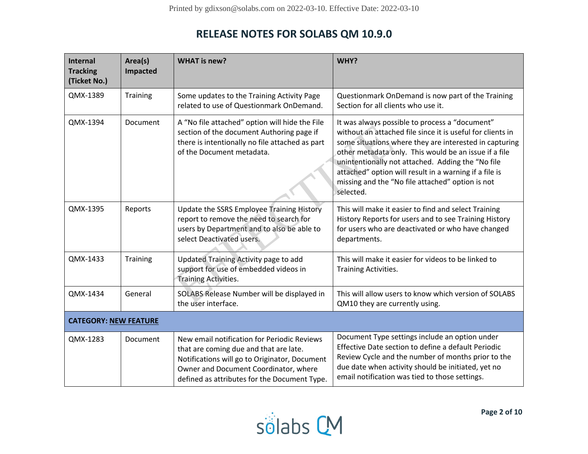| Internal<br><b>Tracking</b><br>(Ticket No.) | Area(s)<br>Impacted | <b>WHAT is new?</b>                                                                                                                                                                                                             | WHY?                                                                                                                                                                                                                                                                                                                                                                                                            |
|---------------------------------------------|---------------------|---------------------------------------------------------------------------------------------------------------------------------------------------------------------------------------------------------------------------------|-----------------------------------------------------------------------------------------------------------------------------------------------------------------------------------------------------------------------------------------------------------------------------------------------------------------------------------------------------------------------------------------------------------------|
| QMX-1389                                    | Training            | Some updates to the Training Activity Page<br>related to use of Questionmark OnDemand.                                                                                                                                          | Questionmark OnDemand is now part of the Training<br>Section for all clients who use it.                                                                                                                                                                                                                                                                                                                        |
| QMX-1394                                    | Document            | A "No file attached" option will hide the File<br>section of the document Authoring page if<br>there is intentionally no file attached as part<br>of the Document metadata.                                                     | It was always possible to process a "document"<br>without an attached file since it is useful for clients in<br>some situations where they are interested in capturing<br>other metadata only. This would be an issue if a file<br>unintentionally not attached. Adding the "No file<br>attached" option will result in a warning if a file is<br>missing and the "No file attached" option is not<br>selected. |
| QMX-1395                                    | Reports             | Update the SSRS Employee Training History<br>report to remove the need to search for<br>users by Department and to also be able to<br>select Deactivated users.                                                                 | This will make it easier to find and select Training<br>History Reports for users and to see Training History<br>for users who are deactivated or who have changed<br>departments.                                                                                                                                                                                                                              |
| QMX-1433                                    | Training            | Updated Training Activity page to add<br>support for use of embedded videos in<br><b>Training Activities.</b>                                                                                                                   | This will make it easier for videos to be linked to<br>Training Activities.                                                                                                                                                                                                                                                                                                                                     |
| QMX-1434                                    | General             | SOLABS Release Number will be displayed in<br>the user interface.                                                                                                                                                               | This will allow users to know which version of SOLABS<br>QM10 they are currently using.                                                                                                                                                                                                                                                                                                                         |
| <b>CATEGORY: NEW FEATURE</b>                |                     |                                                                                                                                                                                                                                 |                                                                                                                                                                                                                                                                                                                                                                                                                 |
| QMX-1283                                    | Document            | New email notification for Periodic Reviews<br>that are coming due and that are late.<br>Notifications will go to Originator, Document<br>Owner and Document Coordinator, where<br>defined as attributes for the Document Type. | Document Type settings include an option under<br>Effective Date section to define a default Periodic<br>Review Cycle and the number of months prior to the<br>due date when activity should be initiated, yet no<br>email notification was tied to those settings.                                                                                                                                             |

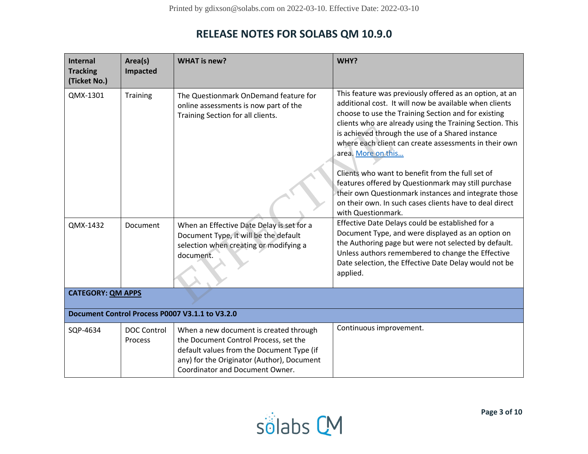| <b>Internal</b><br><b>Tracking</b><br>(Ticket No.) | Area(s)<br>Impacted           | <b>WHAT is new?</b>                                                                                                                                                                                           | WHY?                                                                                                                                                                                                                                                                                                                                                                                                                                                                                                                                                                                                                        |
|----------------------------------------------------|-------------------------------|---------------------------------------------------------------------------------------------------------------------------------------------------------------------------------------------------------------|-----------------------------------------------------------------------------------------------------------------------------------------------------------------------------------------------------------------------------------------------------------------------------------------------------------------------------------------------------------------------------------------------------------------------------------------------------------------------------------------------------------------------------------------------------------------------------------------------------------------------------|
| QMX-1301                                           | Training                      | The Questionmark OnDemand feature for<br>online assessments is now part of the<br>Training Section for all clients.                                                                                           | This feature was previously offered as an option, at an<br>additional cost. It will now be available when clients<br>choose to use the Training Section and for existing<br>clients who are already using the Training Section. This<br>is achieved through the use of a Shared instance<br>where each client can create assessments in their own<br>area. More on this<br>Clients who want to benefit from the full set of<br>features offered by Questionmark may still purchase<br>their own Questionmark instances and integrate those<br>on their own. In such cases clients have to deal direct<br>with Questionmark. |
| QMX-1432                                           | Document                      | When an Effective Date Delay is set for a<br>Document Type, it will be the default<br>selection when creating or modifying a<br>document.                                                                     | Effective Date Delays could be established for a<br>Document Type, and were displayed as an option on<br>the Authoring page but were not selected by default.<br>Unless authors remembered to change the Effective<br>Date selection, the Effective Date Delay would not be<br>applied.                                                                                                                                                                                                                                                                                                                                     |
| <b>CATEGORY: QM APPS</b>                           |                               |                                                                                                                                                                                                               |                                                                                                                                                                                                                                                                                                                                                                                                                                                                                                                                                                                                                             |
|                                                    |                               | Document Control Process P0007 V3.1.1 to V3.2.0                                                                                                                                                               |                                                                                                                                                                                                                                                                                                                                                                                                                                                                                                                                                                                                                             |
| SQP-4634                                           | <b>DOC Control</b><br>Process | When a new document is created through<br>the Document Control Process, set the<br>default values from the Document Type (if<br>any) for the Originator (Author), Document<br>Coordinator and Document Owner. | Continuous improvement.                                                                                                                                                                                                                                                                                                                                                                                                                                                                                                                                                                                                     |

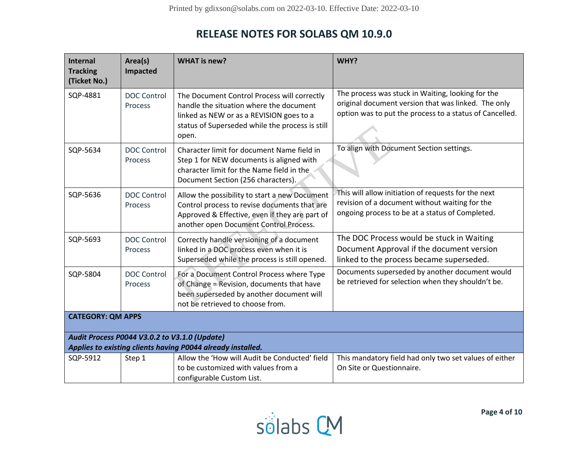| <b>Internal</b><br><b>Tracking</b><br>(Ticket No.)                                                           | Area(s)<br>Impacted           | <b>WHAT is new?</b>                                                                                                                                                                            | WHY?                                                                                                                                                                |
|--------------------------------------------------------------------------------------------------------------|-------------------------------|------------------------------------------------------------------------------------------------------------------------------------------------------------------------------------------------|---------------------------------------------------------------------------------------------------------------------------------------------------------------------|
| SQP-4881                                                                                                     | <b>DOC Control</b><br>Process | The Document Control Process will correctly<br>handle the situation where the document<br>linked as NEW or as a REVISION goes to a<br>status of Superseded while the process is still<br>open. | The process was stuck in Waiting, looking for the<br>original document version that was linked. The only<br>option was to put the process to a status of Cancelled. |
| SQP-5634                                                                                                     | <b>DOC Control</b><br>Process | Character limit for document Name field in<br>Step 1 for NEW documents is aligned with<br>character limit for the Name field in the<br>Document Section (256 characters).                      | To align with Document Section settings.                                                                                                                            |
| SQP-5636                                                                                                     | <b>DOC Control</b><br>Process | Allow the possibility to start a new Document<br>Control process to revise documents that are<br>Approved & Effective, even if they are part of<br>another open Document Control Process.      | This will allow initiation of requests for the next<br>revision of a document without waiting for the<br>ongoing process to be at a status of Completed.            |
| SQP-5693                                                                                                     | <b>DOC Control</b><br>Process | Correctly handle versioning of a document<br>linked in a DOC process even when it is<br>Superseded while the process is still opened.                                                          | The DOC Process would be stuck in Waiting<br>Document Approval if the document version<br>linked to the process became superseded.                                  |
| SQP-5804                                                                                                     | <b>DOC Control</b><br>Process | For a Document Control Process where Type<br>of Change = Revision, documents that have<br>been superseded by another document will<br>not be retrieved to choose from.                         | Documents superseded by another document would<br>be retrieved for selection when they shouldn't be.                                                                |
| <b>CATEGORY: QM APPS</b>                                                                                     |                               |                                                                                                                                                                                                |                                                                                                                                                                     |
| Audit Process P0044 V3.0.2 to V3.1.0 (Update)<br>Applies to existing clients having P0044 already installed. |                               |                                                                                                                                                                                                |                                                                                                                                                                     |
|                                                                                                              |                               |                                                                                                                                                                                                |                                                                                                                                                                     |
| SQP-5912                                                                                                     | Step 1                        | Allow the 'How will Audit be Conducted' field<br>to be customized with values from a<br>configurable Custom List.                                                                              | This mandatory field had only two set values of either<br>On Site or Questionnaire.                                                                                 |

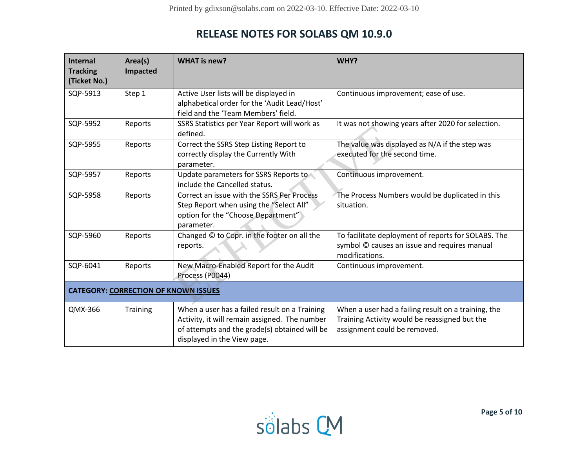| Internal<br><b>Tracking</b><br>(Ticket No.) | Area(s)<br>Impacted | <b>WHAT</b> is new?                                                                                                                                                            | WHY?                                                                                                                                 |
|---------------------------------------------|---------------------|--------------------------------------------------------------------------------------------------------------------------------------------------------------------------------|--------------------------------------------------------------------------------------------------------------------------------------|
| SQP-5913                                    | Step 1              | Active User lists will be displayed in<br>alphabetical order for the 'Audit Lead/Host'<br>field and the 'Team Members' field.                                                  | Continuous improvement; ease of use.                                                                                                 |
| SQP-5952                                    | Reports             | SSRS Statistics per Year Report will work as<br>defined.                                                                                                                       | It was not showing years after 2020 for selection.                                                                                   |
| SQP-5955                                    | Reports             | Correct the SSRS Step Listing Report to<br>correctly display the Currently With<br>parameter.                                                                                  | The value was displayed as N/A if the step was<br>executed for the second time.                                                      |
| SQP-5957                                    | Reports             | Update parameters for SSRS Reports to<br>include the Cancelled status.                                                                                                         | Continuous improvement.                                                                                                              |
| SQP-5958                                    | Reports             | Correct an issue with the SSRS Per Process<br>Step Report when using the "Select All"<br>option for the "Choose Department"<br>parameter.                                      | The Process Numbers would be duplicated in this<br>situation.                                                                        |
| SQP-5960                                    | Reports             | Changed © to Copr. in the footer on all the<br>reports.                                                                                                                        | To facilitate deployment of reports for SOLABS. The<br>symbol © causes an issue and requires manual<br>modifications.                |
| SQP-6041                                    | Reports             | New Macro-Enabled Report for the Audit<br>Process (P0044)                                                                                                                      | Continuous improvement.                                                                                                              |
| <b>CATEGORY: CORRECTION OF KNOWN ISSUES</b> |                     |                                                                                                                                                                                |                                                                                                                                      |
| QMX-366                                     | Training            | When a user has a failed result on a Training<br>Activity, it will remain assigned. The number<br>of attempts and the grade(s) obtained will be<br>displayed in the View page. | When a user had a failing result on a training, the<br>Training Activity would be reassigned but the<br>assignment could be removed. |

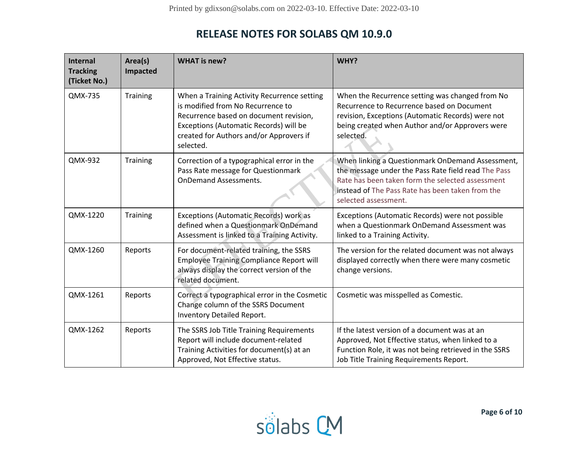| <b>Internal</b><br><b>Tracking</b><br>(Ticket No.) | Area(s)<br>Impacted | <b>WHAT is new?</b>                                                                                                                                                                                                          | WHY?                                                                                                                                                                                                                                    |
|----------------------------------------------------|---------------------|------------------------------------------------------------------------------------------------------------------------------------------------------------------------------------------------------------------------------|-----------------------------------------------------------------------------------------------------------------------------------------------------------------------------------------------------------------------------------------|
| QMX-735                                            | Training            | When a Training Activity Recurrence setting<br>is modified from No Recurrence to<br>Recurrence based on document revision,<br>Exceptions (Automatic Records) will be<br>created for Authors and/or Approvers if<br>selected. | When the Recurrence setting was changed from No<br>Recurrence to Recurrence based on Document<br>revision, Exceptions (Automatic Records) were not<br>being created when Author and/or Approvers were<br>selected.                      |
| QMX-932                                            | Training            | Correction of a typographical error in the<br>Pass Rate message for Questionmark<br><b>OnDemand Assessments.</b>                                                                                                             | When linking a Questionmark OnDemand Assessment,<br>the message under the Pass Rate field read The Pass<br>Rate has been taken form the selected assessment<br>instead of The Pass Rate has been taken from the<br>selected assessment. |
| QMX-1220                                           | <b>Training</b>     | Exceptions (Automatic Records) work as<br>defined when a Questionmark OnDemand<br>Assessment is linked to a Training Activity.                                                                                               | Exceptions (Automatic Records) were not possible<br>when a Questionmark OnDemand Assessment was<br>linked to a Training Activity.                                                                                                       |
| QMX-1260                                           | Reports             | For document-related training, the SSRS<br><b>Employee Training Compliance Report will</b><br>always display the correct version of the<br>related document.                                                                 | The version for the related document was not always<br>displayed correctly when there were many cosmetic<br>change versions.                                                                                                            |
| QMX-1261                                           | Reports             | Correct a typographical error in the Cosmetic<br>Change column of the SSRS Document<br>Inventory Detailed Report.                                                                                                            | Cosmetic was misspelled as Comestic.                                                                                                                                                                                                    |
| QMX-1262                                           | Reports             | The SSRS Job Title Training Requirements<br>Report will include document-related<br>Training Activities for document(s) at an<br>Approved, Not Effective status.                                                             | If the latest version of a document was at an<br>Approved, Not Effective status, when linked to a<br>Function Role, it was not being retrieved in the SSRS<br>Job Title Training Requirements Report.                                   |

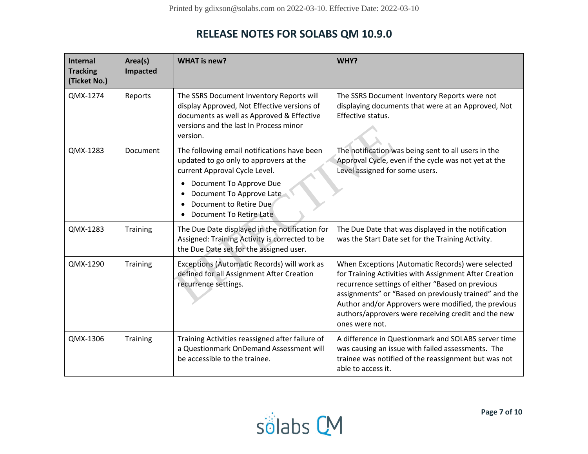| <b>Internal</b><br><b>Tracking</b><br>(Ticket No.) | Area(s)<br>Impacted | <b>WHAT is new?</b>                                                                                                                                                                                                                                  | WHY?                                                                                                                                                                                                                                                                                                                                                     |
|----------------------------------------------------|---------------------|------------------------------------------------------------------------------------------------------------------------------------------------------------------------------------------------------------------------------------------------------|----------------------------------------------------------------------------------------------------------------------------------------------------------------------------------------------------------------------------------------------------------------------------------------------------------------------------------------------------------|
| QMX-1274                                           | Reports             | The SSRS Document Inventory Reports will<br>display Approved, Not Effective versions of<br>documents as well as Approved & Effective<br>versions and the last In Process minor<br>version.                                                           | The SSRS Document Inventory Reports were not<br>displaying documents that were at an Approved, Not<br>Effective status.                                                                                                                                                                                                                                  |
| QMX-1283                                           | Document            | The following email notifications have been<br>updated to go only to approvers at the<br>current Approval Cycle Level.<br>Document To Approve Due<br>$\bullet$<br>Document To Approve Late<br>٠<br>Document to Retire Due<br>Document To Retire Late | The notification was being sent to all users in the<br>Approval Cycle, even if the cycle was not yet at the<br>Level assigned for some users.                                                                                                                                                                                                            |
| QMX-1283                                           | Training            | The Due Date displayed in the notification for<br>Assigned: Training Activity is corrected to be<br>the Due Date set for the assigned user.                                                                                                          | The Due Date that was displayed in the notification<br>was the Start Date set for the Training Activity.                                                                                                                                                                                                                                                 |
| QMX-1290                                           | Training            | Exceptions (Automatic Records) will work as<br>defined for all Assignment After Creation<br>recurrence settings.                                                                                                                                     | When Exceptions (Automatic Records) were selected<br>for Training Activities with Assignment After Creation<br>recurrence settings of either "Based on previous<br>assignments" or "Based on previously trained" and the<br>Author and/or Approvers were modified, the previous<br>authors/approvers were receiving credit and the new<br>ones were not. |
| QMX-1306                                           | Training            | Training Activities reassigned after failure of<br>a Questionmark OnDemand Assessment will<br>be accessible to the trainee.                                                                                                                          | A difference in Questionmark and SOLABS server time<br>was causing an issue with failed assessments. The<br>trainee was notified of the reassignment but was not<br>able to access it.                                                                                                                                                                   |

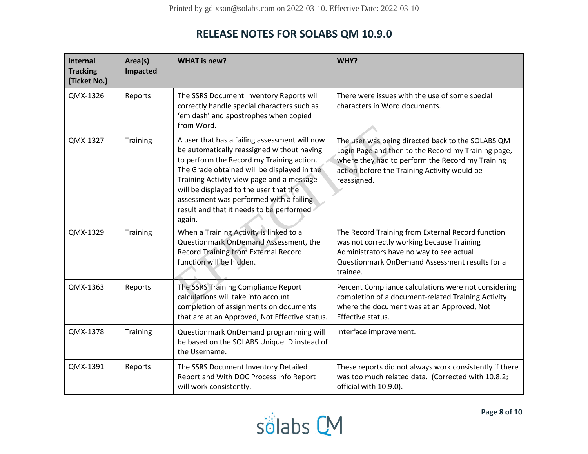| Internal<br><b>Tracking</b><br>(Ticket No.) | Area(s)<br>Impacted | <b>WHAT is new?</b>                                                                                                                                                                                                                                                                                                                                                             | WHY?                                                                                                                                                                                                                        |
|---------------------------------------------|---------------------|---------------------------------------------------------------------------------------------------------------------------------------------------------------------------------------------------------------------------------------------------------------------------------------------------------------------------------------------------------------------------------|-----------------------------------------------------------------------------------------------------------------------------------------------------------------------------------------------------------------------------|
| QMX-1326                                    | Reports             | The SSRS Document Inventory Reports will<br>correctly handle special characters such as<br>'em dash' and apostrophes when copied<br>from Word.                                                                                                                                                                                                                                  | There were issues with the use of some special<br>characters in Word documents.                                                                                                                                             |
| QMX-1327                                    | Training            | A user that has a failing assessment will now<br>be automatically reassigned without having<br>to perform the Record my Training action.<br>The Grade obtained will be displayed in the<br>Training Activity view page and a message<br>will be displayed to the user that the<br>assessment was performed with a failing<br>result and that it needs to be performed<br>again. | The user was being directed back to the SOLABS QM<br>Login Page and then to the Record my Training page,<br>where they had to perform the Record my Training<br>action before the Training Activity would be<br>reassigned. |
| QMX-1329                                    | Training            | When a Training Activity is linked to a<br>Questionmark OnDemand Assessment, the<br><b>Record Training from External Record</b><br>function will be hidden.                                                                                                                                                                                                                     | The Record Training from External Record function<br>was not correctly working because Training<br>Administrators have no way to see actual<br>Questionmark OnDemand Assessment results for a<br>trainee.                   |
| QMX-1363                                    | Reports             | The SSRS Training Compliance Report<br>calculations will take into account<br>completion of assignments on documents<br>that are at an Approved, Not Effective status.                                                                                                                                                                                                          | Percent Compliance calculations were not considering<br>completion of a document-related Training Activity<br>where the document was at an Approved, Not<br>Effective status.                                               |
| QMX-1378                                    | Training            | Questionmark OnDemand programming will<br>be based on the SOLABS Unique ID instead of<br>the Username.                                                                                                                                                                                                                                                                          | Interface improvement.                                                                                                                                                                                                      |
| QMX-1391                                    | Reports             | The SSRS Document Inventory Detailed<br>Report and With DOC Process Info Report<br>will work consistently.                                                                                                                                                                                                                                                                      | These reports did not always work consistently if there<br>was too much related data. (Corrected with 10.8.2;<br>official with 10.9.0).                                                                                     |

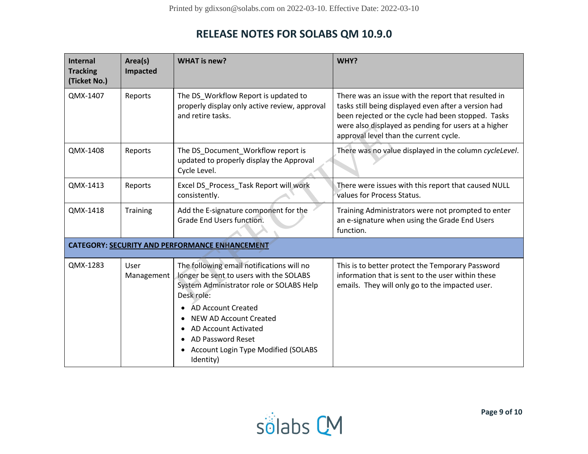| <b>Internal</b><br><b>Tracking</b><br>(Ticket No.) | Area(s)<br>Impacted | <b>WHAT is new?</b>                                                                                                                                                                                                                                                                                    | WHY?                                                                                                                                                                                                                                                                |
|----------------------------------------------------|---------------------|--------------------------------------------------------------------------------------------------------------------------------------------------------------------------------------------------------------------------------------------------------------------------------------------------------|---------------------------------------------------------------------------------------------------------------------------------------------------------------------------------------------------------------------------------------------------------------------|
| QMX-1407                                           | Reports             | The DS Workflow Report is updated to<br>properly display only active review, approval<br>and retire tasks.                                                                                                                                                                                             | There was an issue with the report that resulted in<br>tasks still being displayed even after a version had<br>been rejected or the cycle had been stopped. Tasks<br>were also displayed as pending for users at a higher<br>approval level than the current cycle. |
| QMX-1408                                           | Reports             | The DS Document Workflow report is<br>updated to properly display the Approval<br>Cycle Level.                                                                                                                                                                                                         | There was no value displayed in the column cycleLevel.                                                                                                                                                                                                              |
| QMX-1413                                           | Reports             | Excel DS_Process_Task Report will work<br>consistently.                                                                                                                                                                                                                                                | There were issues with this report that caused NULL<br>values for Process Status.                                                                                                                                                                                   |
| QMX-1418                                           | Training            | Add the E-signature component for the<br>Grade End Users function.                                                                                                                                                                                                                                     | Training Administrators were not prompted to enter<br>an e-signature when using the Grade End Users<br>function.                                                                                                                                                    |
|                                                    |                     | CATEGORY: SECURITY AND PERFORMANCE ENHANCEMENT                                                                                                                                                                                                                                                         |                                                                                                                                                                                                                                                                     |
| QMX-1283                                           | User<br>Management  | The following email notifications will no<br>longer be sent to users with the SOLABS<br>System Administrator role or SOLABS Help<br>Desk role:<br>AD Account Created<br>NEW AD Account Created<br><b>AD Account Activated</b><br>AD Password Reset<br>Account Login Type Modified (SOLABS<br>Identity) | This is to better protect the Temporary Password<br>information that is sent to the user within these<br>emails. They will only go to the impacted user.                                                                                                            |